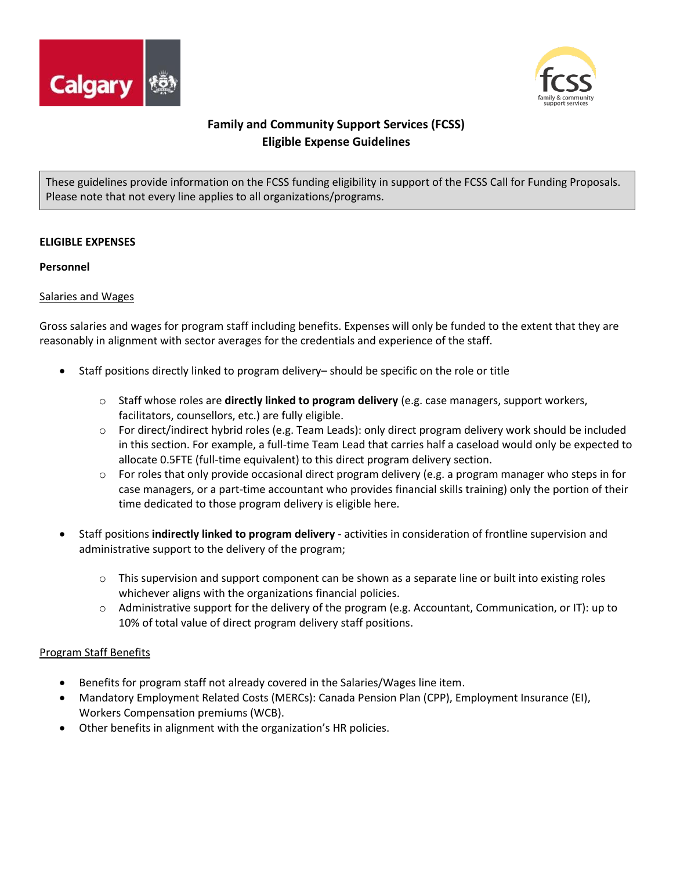



# **Family and Community Support Services (FCSS) Eligible Expense Guidelines**

These guidelines provide information on the FCSS funding eligibility in support of the FCSS Call for Funding Proposals. Please note that not every line applies to all organizations/programs.

### **ELIGIBLE EXPENSES**

#### **Personnel**

### Salaries and Wages

Gross salaries and wages for program staff including benefits. Expenses will only be funded to the extent that they are reasonably in alignment with sector averages for the credentials and experience of the staff.

- Staff positions directly linked to program delivery– should be specific on the role or title
	- o Staff whose roles are **directly linked to program delivery** (e.g. case managers, support workers, facilitators, counsellors, etc.) are fully eligible.
	- $\circ$  For direct/indirect hybrid roles (e.g. Team Leads): only direct program delivery work should be included in this section. For example, a full-time Team Lead that carries half a caseload would only be expected to allocate 0.5FTE (full-time equivalent) to this direct program delivery section.
	- $\circ$  For roles that only provide occasional direct program delivery (e.g. a program manager who steps in for case managers, or a part-time accountant who provides financial skills training) only the portion of their time dedicated to those program delivery is eligible here.
- Staff positions **indirectly linked to program delivery** activities in consideration of frontline supervision and administrative support to the delivery of the program;
	- $\circ$  This supervision and support component can be shown as a separate line or built into existing roles whichever aligns with the organizations financial policies.
	- o Administrative support for the delivery of the program (e.g. Accountant, Communication, or IT): up to 10% of total value of direct program delivery staff positions.

### Program Staff Benefits

- Benefits for program staff not already covered in the Salaries/Wages line item.
- Mandatory Employment Related Costs (MERCs): Canada Pension Plan (CPP), Employment Insurance (EI), Workers Compensation premiums (WCB).
- Other benefits in alignment with the organization's HR policies.